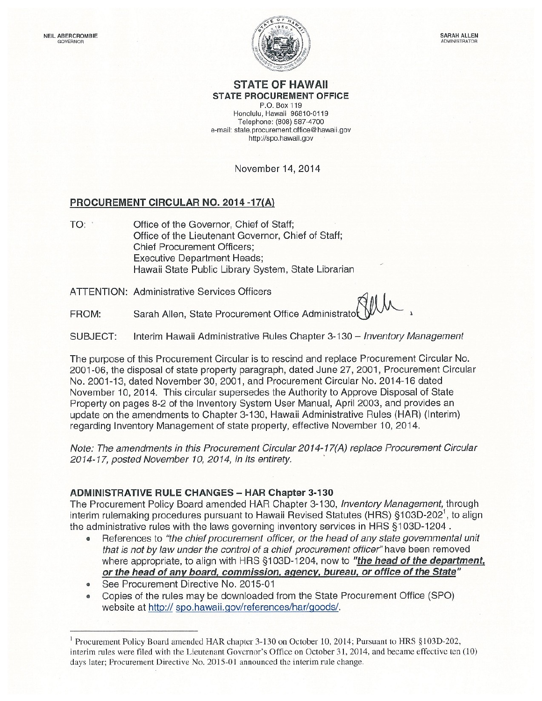

#### **STATE OF HAWAII STATE PROCUREMENT OFFICE**

P.O. Box 119 Honolulu, Hawaii 96810-0119 Telephone: (808) 587-4700 e-mail: state.procurement.office@hawaii.gov http://spo.hawaii.gov

November 14, 2014

#### PROCUREMENT CIRCULAR NO. 2014 -17(A)

Office of the Governor, Chief of Staff; TO: Office of the Lieutenant Governor, Chief of Staff; **Chief Procurement Officers: Executive Department Heads;** Hawaii State Public Library System, State Librarian

**ATTENTION: Administrative Services Officers** 

Sarah Allen, State Procurement Office Administrato FROM:

SUBJECT: Interim Hawaii Administrative Rules Chapter 3-130 - Inventory Management

The purpose of this Procurement Circular is to rescind and replace Procurement Circular No. 2001-06, the disposal of state property paragraph, dated June 27, 2001, Procurement Circular No. 2001-13, dated November 30, 2001, and Procurement Circular No. 2014-16 dated November 10, 2014. This circular supersedes the Authority to Approve Disposal of State Property on pages 8-2 of the Inventory System User Manual, April 2003, and provides an update on the amendments to Chapter 3-130, Hawaii Administrative Rules (HAR) (Interim) regarding Inventory Management of state property, effective November 10, 2014.

Note: The amendments in this Procurement Circular 2014-17(A) replace Procurement Circular 2014-17, posted November 10, 2014, in its entirety.

#### **ADMINISTRATIVE RULE CHANGES - HAR Chapter 3-130**

The Procurement Policy Board amended HAR Chapter 3-130, Inventory Management, through interim rulemaking procedures pursuant to Hawaii Revised Statutes (HRS) §103D-202<sup>1</sup>, to align the administrative rules with the laws governing inventory services in HRS §103D-1204.

- References to "the chief procurement officer, or the head of any state governmental unit  $\bullet$ that is not by law under the control of a chief procurement officer" have been removed where appropriate, to align with HRS §103D-1204, now to "the head of the department, or the head of any board, commission, agency, bureau, or office of the State"
- See Procurement Directive No. 2015-01  $\bullet$
- Copies of the rules may be downloaded from the State Procurement Office (SPO) website at http:// spo.hawaii.gov/references/har/goods/.

<sup>&</sup>lt;sup>1</sup> Procurement Policy Board amended HAR chapter 3-130 on October 10, 2014; Pursuant to HRS §103D-202, interim rules were filed with the Lieutenant Governor's Office on October 31, 2014, and became effective ten (10) days later; Procurement Directive No. 2015-01 announced the interim rule change.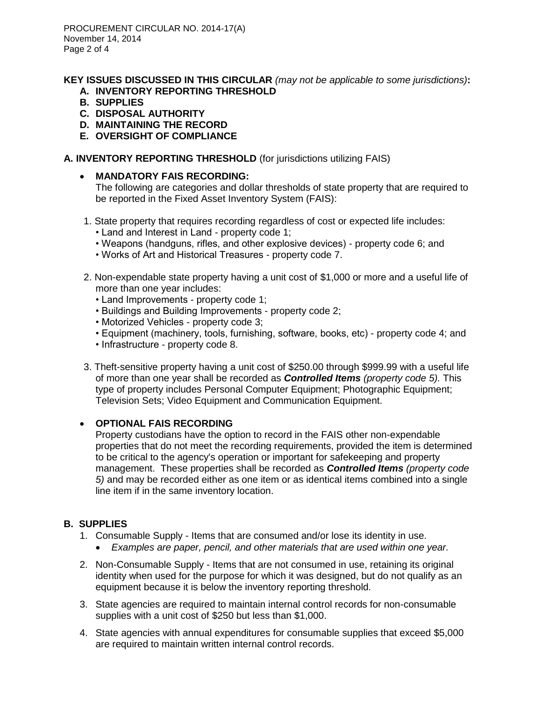PROCUREMENT CIRCULAR NO. 2014-17(A) November 14, 2014 Page 2 of 4

**KEY ISSUES DISCUSSED IN THIS CIRCULAR** *(may not be applicable to some jurisdictions)***:**

- **A. INVENTORY REPORTING THRESHOLD**
- **B. SUPPLIES**
- **C. DISPOSAL AUTHORITY**
- **D. MAINTAINING THE RECORD**
- **E. OVERSIGHT OF COMPLIANCE**

### **A. INVENTORY REPORTING THRESHOLD** (for jurisdictions utilizing FAIS)

**MANDATORY FAIS RECORDING:**

The following are categories and dollar thresholds of state property that are required to be reported in the Fixed Asset Inventory System (FAIS):

- 1. State property that requires recording regardless of cost or expected life includes:
	- Land and Interest in Land property code 1;
	- Weapons (handguns, rifles, and other explosive devices) property code 6; and
	- Works of Art and Historical Treasures property code 7.
- 2. Non-expendable state property having a unit cost of \$1,000 or more and a useful life of more than one year includes:
	- Land Improvements property code 1;
	- Buildings and Building Improvements property code 2;
	- Motorized Vehicles property code 3;
	- Equipment (machinery, tools, furnishing, software, books, etc) property code 4; and
	- Infrastructure property code 8.
- 3. Theft-sensitive property having a unit cost of \$250.00 through \$999.99 with a useful life of more than one year shall be recorded as *Controlled Items (property code 5).* This type of property includes Personal Computer Equipment; Photographic Equipment; Television Sets; Video Equipment and Communication Equipment.

### **OPTIONAL FAIS RECORDING**

Property custodians have the option to record in the FAIS other non-expendable properties that do not meet the recording requirements, provided the item is determined to be critical to the agency's operation or important for safekeeping and property management. These properties shall be recorded as *Controlled Items (property code 5)* and may be recorded either as one item or as identical items combined into a single line item if in the same inventory location.

### **B. SUPPLIES**

- 1. Consumable Supply Items that are consumed and/or lose its identity in use.
	- *Examples are paper, pencil, and other materials that are used within one year.*
- 2. Non-Consumable Supply Items that are not consumed in use, retaining its original identity when used for the purpose for which it was designed, but do not qualify as an equipment because it is below the inventory reporting threshold.
- 3. State agencies are required to maintain internal control records for non-consumable supplies with a unit cost of \$250 but less than \$1,000.
- 4. State agencies with annual expenditures for consumable supplies that exceed \$5,000 are required to maintain written internal control records.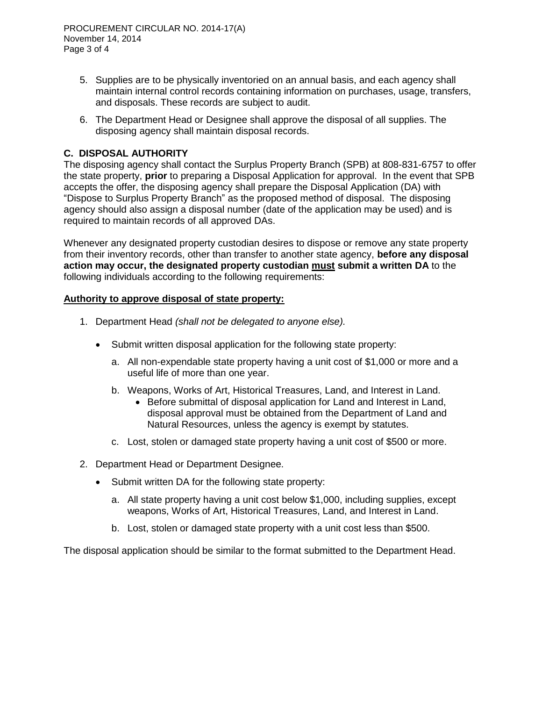PROCUREMENT CIRCULAR NO. 2014-17(A) November 14, 2014 Page 3 of 4

- 5. Supplies are to be physically inventoried on an annual basis, and each agency shall maintain internal control records containing information on purchases, usage, transfers, and disposals. These records are subject to audit.
- 6. The Department Head or Designee shall approve the disposal of all supplies. The disposing agency shall maintain disposal records.

## **C. DISPOSAL AUTHORITY**

The disposing agency shall contact the Surplus Property Branch (SPB) at 808-831-6757 to offer the state property, **prior** to preparing a Disposal Application for approval. In the event that SPB accepts the offer, the disposing agency shall prepare the Disposal Application (DA) with "Dispose to Surplus Property Branch" as the proposed method of disposal. The disposing agency should also assign a disposal number (date of the application may be used) and is required to maintain records of all approved DAs.

Whenever any designated property custodian desires to dispose or remove any state property from their inventory records, other than transfer to another state agency, **before any disposal action may occur, the designated property custodian must submit a written DA** to the following individuals according to the following requirements:

#### **Authority to approve disposal of state property:**

- 1. Department Head *(shall not be delegated to anyone else).*
	- Submit written disposal application for the following state property:
		- a. All non-expendable state property having a unit cost of \$1,000 or more and a useful life of more than one year.
		- b. Weapons, Works of Art, Historical Treasures, Land, and Interest in Land.
			- Before submittal of disposal application for Land and Interest in Land, disposal approval must be obtained from the Department of Land and Natural Resources, unless the agency is exempt by statutes.
		- c. Lost, stolen or damaged state property having a unit cost of \$500 or more.
- 2. Department Head or Department Designee.
	- Submit written DA for the following state property:
		- a. All state property having a unit cost below \$1,000, including supplies, except weapons, Works of Art, Historical Treasures, Land, and Interest in Land.
		- b. Lost, stolen or damaged state property with a unit cost less than \$500.

The disposal application should be similar to the format submitted to the Department Head.